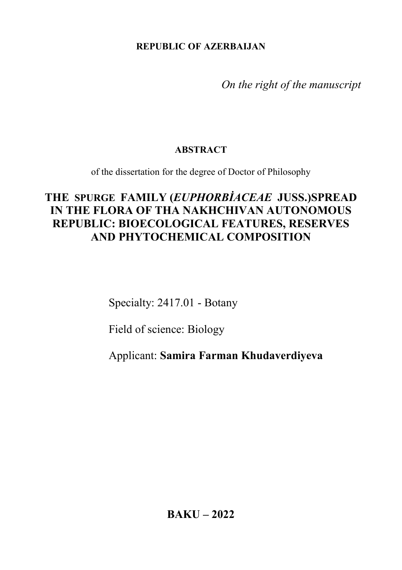**REPUBLIC OF AZERBAIJAN**

*On the right of the manuscript*

### **ABSTRACT**

of the dissertation for the degree of Doctor of Philosophy

# **THE [SPURGE](https://en.wikipedia.org/wiki/Spurge) FAMILY (***EUPHORBİACEAE* **JUSS.)SPREAD IN THE FLORA OF THA NAKHCHIVAN AUTONOMOUS REPUBLIC: BIOECOLOGICAL FEATURES, RESERVES AND PHYTOCHEMICAL COMPOSITION**

Specialty: 2417.01 - Botany

Field of science: Biology

Applicant: **Samira Farman Khudaverdiyeva**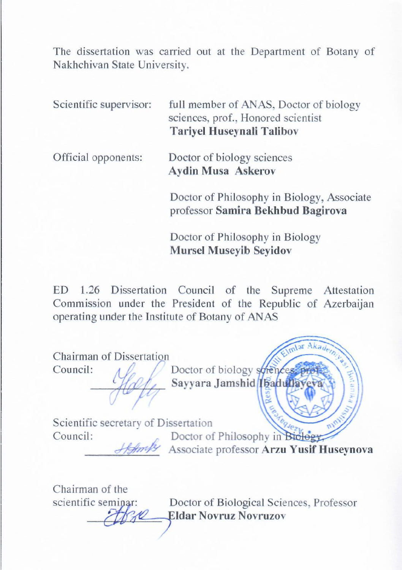The dissertation was carried out at the Department of Botany of Nakhchivan State University.

| Scientific supervisor: | full member of ANAS, Doctor of biology<br>sciences, prof., Honored scientist<br><b>Tariyel Huseynali Talibov</b> |
|------------------------|------------------------------------------------------------------------------------------------------------------|
| Official opponents:    | Doctor of biology sciences<br><b>Aydin Musa Askerov</b>                                                          |
|                        | Doctor of Philosophy in Biology, Associate                                                                       |

professor **Samira Bekhbud Bagirova**

Doctor of Philosophy in Biology **Mursel Museyib Seyidov** 

ED 1.26 Dissertation Council of the Supreme Attestation Commission under the President of the Republic of Azerbaijan operating under the Institute of Botany of ANAS

Chairman of Dissertation Council:  $\Lambda \ell$  Doctor of biology sciences Sayyara Jamshid **Ibadullay** Scientific secretary of Dissertation Council: Doctor of Philosophy in Biology \_\_\_\_\_\_\_\_\_\_\_\_\_ Associate professor **Arzu Yusif Huseynova**

Chairman of the

**Eldar Novruz Novruzov** scientific seminar: Doctor of Biological Sciences, Professor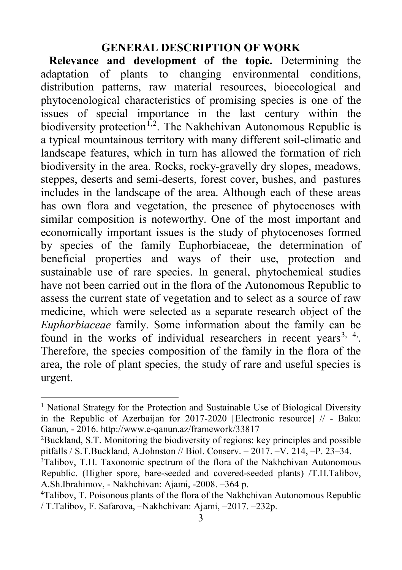### **GENERAL DESCRIPTION OF WORK**

**Relevance and development of the topic.** Determining the adaptation of plants to changing environmental conditions, distribution patterns, raw material resources, bioecological and phytocenological characteristics of promising species is one of the issues of special importance in the last century within the biodiversity protection<sup>[1](#page-2-0),[2](#page-2-1)</sup>. The Nakhchivan Autonomous Republic is a typical mountainous territory with many different soil-climatic and landscape features, which in turn has allowed the formation of rich biodiversity in the area. Rocks, rocky-gravelly dry slopes, meadows, steppes, deserts and semi-deserts, forest cover, bushes, and pastures includes in the landscape of the area. Although each of these areas has own flora and vegetation, the presence of phytocenoses with similar composition is noteworthy. One of the most important and economically important issues is the study of phytocenoses formed by species of the family Euphorbiaceae, the determination of beneficial properties and ways of their use, protection and sustainable use of rare species. In general, phytochemical studies have not been carried out in the flora of the Autonomous Republic to assess the current state of vegetation and to select as a source of raw medicine, which were selected as a separate research object of the *Euphorbiaceae* family. Some information about the family can be found in the works of individual researchers in recent years<sup>[3](#page-2-2), [4](#page-2-3)</sup>. Therefore, the species composition of the family in the flora of the area, the role of plant species, the study of rare and useful species is urgent.

<span id="page-2-0"></span><sup>&</sup>lt;sup>1</sup> National Strategy for the Protection and Sustainable Use of Biological Diversity in the Republic of Azerbaijan for 2017-2020 [Electronic resource] // - Baku: Ganun, - 2016. http://www.e-qanun.az/framework/33817

<span id="page-2-1"></span><sup>2</sup> Buckland, S.T. Monitoring the biodiversity of regions: key principles and possible pitfalls / S.T.Buckland, A.Johnston // Biol. Conserv. – 2017. –V. 214, –P. 23–34.

<span id="page-2-2"></span><sup>&</sup>lt;sup>3</sup>Talibov, T.H. Taxonomic spectrum of the flora of the Nakhchivan Autonomous Republic. (Higher spore, bare-seeded and covered-seeded plants) /T.H.Talibov, A.Sh.Ibrahimov, - Nakhchivan: Ajami, -2008. –364 p.

<span id="page-2-3"></span><sup>&</sup>lt;sup>4</sup>Talibov, T. Poisonous plants of the flora of the Nakhchivan Autonomous Republic / T.Talibov, F. Safarova, –Nakhchivan: Ajami, –2017. –232p.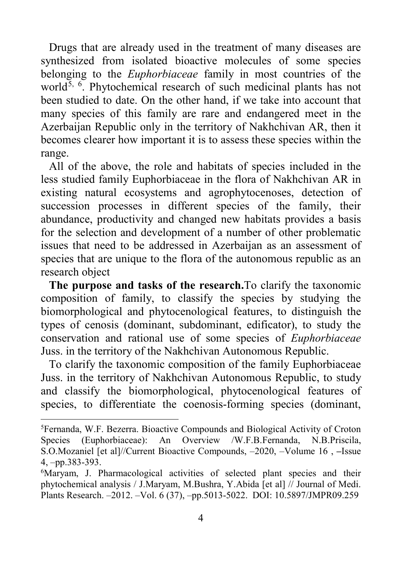Drugs that are already used in the treatment of many diseases are synthesized from isolated bioactive molecules of some species belonging to the *Euphorbiaceae* family in most countries of the world<sup>[5](#page-3-0), [6](#page-3-1)</sup>. Phytochemical research of such medicinal plants has not been studied to date. On the other hand, if we take into account that many species of this family are rare and endangered meet in the Azerbaijan Republic only in the territory of Nakhchivan AR, then it becomes clearer how important it is to assess these species within the range.

All of the above, the role and habitats of species included in the less studied family Euphorbiaceae in the flora of Nakhchivan AR in existing natural ecosystems and agrophytocenoses, detection of succession processes in different species of the family, their abundance, productivity and changed new habitats provides a basis for the selection and development of a number of other problematic issues that need to be addressed in Azerbaijan as an assessment of species that are unique to the flora of the autonomous republic as an research object

**The purpose and tasks of the research.**To clarify the taxonomic composition of family, to classify the species by studying the biomorphological and phytocenological features, to distinguish the types of cenosis (dominant, subdominant, edificator), to study the conservation and rational use of some species of *Euphorbiaceae*  Juss. in the territory of the Nakhchivan Autonomous Republic.

To clarify the taxonomic composition of the family Euphorbiaceae Juss. in the territory of Nakhchivan Autonomous Republic, to study and classify the biomorphological, phytocenological features of species, to differentiate the coenosis-forming species (dominant,

<span id="page-3-0"></span> <sup>5</sup> Fernanda, W.F. Bezerra. Bioactive Compounds and Biological Activity of Croton Species (Euphorbiaceae): An Overview /W.F.B.Fernanda, N.B.Priscila, S.O.Mozaniel [et al]//Current Bioactive Compounds, –2020, –Volume 16 , **–**Issue 4, –pp.383-393.

<span id="page-3-1"></span><sup>&</sup>lt;sup>6</sup>Maryam, J. Pharmacological activities of selected plant species and their phytochemical analysis / J.Maryam, M.Bushra, Y.Abida [et al] // Journal of Medi. Plants Research. –2012. –Vol. 6 (37), –pp.5013-5022. DOI: 10.5897/JMPR09.259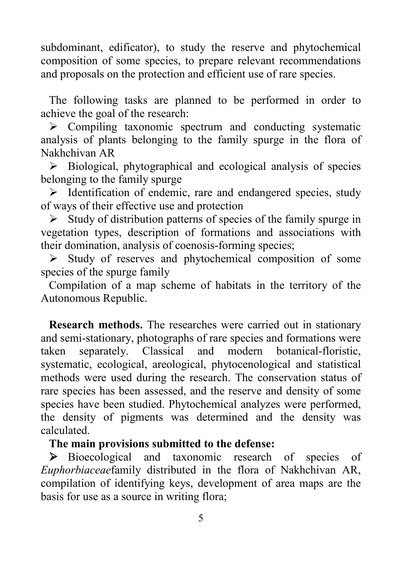subdominant, edificator), to study the reserve and phytochemical composition of some species, to prepare relevant recommendations and proposals on the protection and efficient use of rare species.

The following tasks are planned to be performed in order to achieve the goal of the research:

 $\triangleright$  Compiling taxonomic spectrum and conducting systematic analysis of plants belonging to the family spurge in the flora of Nakhchivan AR

 $\triangleright$  Biological, phytographical and ecological analysis of species belonging to the family spurge

 $\triangleright$  Identification of endemic, rare and endangered species, study of ways of their effective use and protection

 $\triangleright$  Study of distribution patterns of species of the family spurge in vegetation types, description of formations and associations with their domination, analysis of coenosis-forming species;

 $\triangleright$  Study of reserves and phytochemical composition of some species of the spurge family

Compilation of a map scheme of habitats in the territory of the Autonomous Republic.

**Research methods.** The researches were carried out in stationary and semi-stationary, photographs of rare species and formations were taken separately. Classical and modern botanical-floristic, systematic, ecological, areological, phytocenological and statistical methods were used during the research. The conservation status of rare species has been assessed, and the reserve and density of some species have been studied. Phytochemical analyzes were performed, the density of pigments was determined and the density was calculated.

**The main provisions submitted to the defense:**

 Bioecological and taxonomic research of species of *Euphorbiaceae*family distributed in the flora of Nakhchivan AR, compilation of identifying keys, development of area maps are the basis for use as a source in writing flora;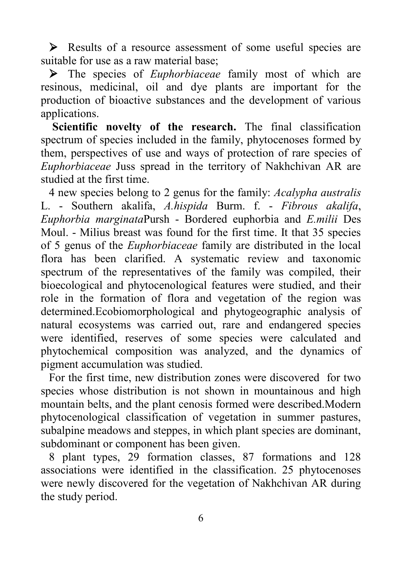Results of a resource assessment of some useful species are suitable for use as a raw material base;

 The species of *Euphorbiaceae* family most of which are resinous, medicinal, oil and dye plants are important for the production of bioactive substances and the development of various applications.

**Scientific novelty of the research.** The final classification spectrum of species included in the family, phytocenoses formed by them, perspectives of use and ways of protection of rare species of *Euphorbiaceae* Juss spread in the territory of Nakhchivan AR are studied at the first time.

4 new species belong to 2 genus for the family: *Acalypha australis* L. - Southern akalifa, *A.hispida* Burm. f. - *Fibrous akalifa*, *Euphorbia marginata*Pursh - Bordered euphorbia and *E.milii* Des Moul. - Milius breast was found for the first time. It that 35 species of 5 genus of the *Euphorbiaceae* family are distributed in the local flora has been clarified. A systematic review and taxonomic spectrum of the representatives of the family was compiled, their bioecological and phytocenological features were studied, and their role in the formation of flora and vegetation of the region was determined.Ecobiomorphological and phytogeographic analysis of natural ecosystems was carried out, rare and endangered species were identified, reserves of some species were calculated and phytochemical composition was analyzed, and the dynamics of pigment accumulation was studied.

For the first time, new distribution zones were discovered for two species whose distribution is not shown in mountainous and high mountain belts, and the plant cenosis formed were described.Modern phytocenological classification of vegetation in summer pastures, subalpine meadows and steppes, in which plant species are dominant, subdominant or component has been given.

8 plant types, 29 formation classes, 87 formations and 128 associations were identified in the classification. 25 phytocenoses were newly discovered for the vegetation of Nakhchivan AR during the study period.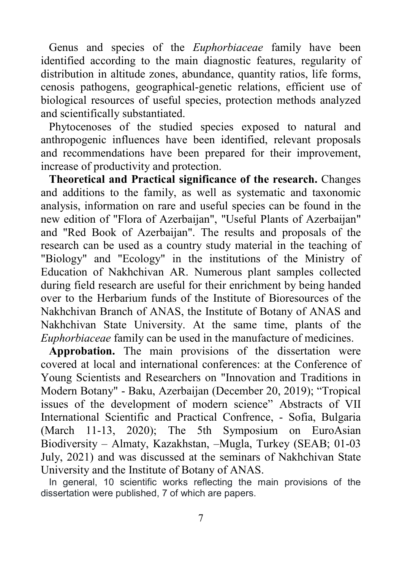Genus and species of the *Euphorbiaceae* family have been identified according to the main diagnostic features, regularity of distribution in altitude zones, abundance, quantity ratios, life forms, cenosis pathogens, geographical-genetic relations, efficient use of biological resources of useful species, protection methods analyzed and scientifically substantiated.

Phytocenoses of the studied species exposed to natural and anthropogenic influences have been identified, relevant proposals and recommendations have been prepared for their improvement, increase of productivity and protection.

**Theoretical and Practical significance of the research.** Changes and additions to the family, as well as systematic and taxonomic analysis, information on rare and useful species can be found in the new edition of "Flora of Azerbaijan", "Useful Plants of Azerbaijan" and "Red Book of Azerbaijan". The results and proposals of the research can be used as a country study material in the teaching of "Biology" and "Ecology" in the institutions of the Ministry of Education of Nakhchivan AR. Numerous plant samples collected during field research are useful for their enrichment by being handed over to the Herbarium funds of the Institute of Bioresources of the Nakhchivan Branch of ANAS, the Institute of Botany of ANAS and Nakhchivan State University. At the same time, plants of the *Euphorbiaceae* family can be used in the manufacture of medicines.

**Approbation.** The main provisions of the dissertation were covered at local and international conferences: at the Conference of Young Scientists and Researchers on "Innovation and Traditions in Modern Botany" - Baku, Azerbaijan (December 20, 2019); "Tropical issues of the development of modern science" Abstracts of VII International Scientific and Practical Confrence, - Sofia, Bulgaria (March 11-13, 2020); The 5th Symposium on EuroAsian Biodiversity – Almaty, Kazakhstan, –Mugla, Turkey (SEAB; 01-03 July, 2021) and was discussed at the seminars of Nakhchivan State University and the Institute of Botany of ANAS.

In general, 10 scientific works reflecting the main provisions of the dissertation were published, 7 of which are papers.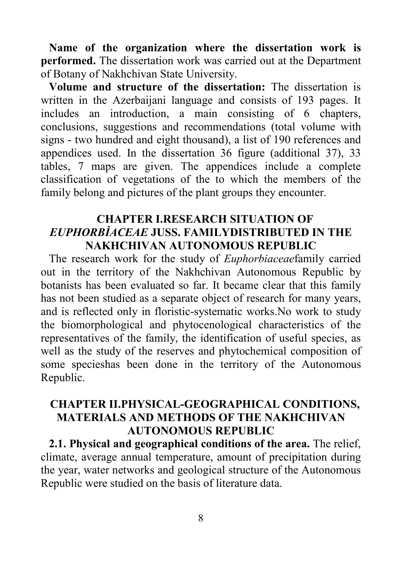**Name of the organization where the dissertation work is performed.** The dissertation work was carried out at the Department of Botany of Nakhchivan State University.

**Volume and structure of the dissertation:** The dissertation is written in the Azerbaijani language and consists of 193 pages. It includes an introduction, a main consisting of 6 chapters, conclusions, suggestions and recommendations (total volume with signs - two hundred and eight thousand), a list of 190 references and appendices used. In the dissertation 36 figure (additional 37), 33 tables, 7 maps are given. The appendices include a complete classification of vegetations of the to which the members of the family belong and pictures of the plant groups they encounter.

### **CHAPTER I.RESEARCH SITUATION OF**  *EUPHORBİACEAE* **JUSS. FAMILYDISTRIBUTED IN THE NAKHCHIVAN AUTONOMOUS REPUBLIC**

The research work for the study of *Euphorbiaceae*family carried out in the territory of the Nakhchivan Autonomous Republic by botanists has been evaluated so far. It became clear that this family has not been studied as a separate object of research for many years, and is reflected only in floristic-systematic works.No work to study the biomorphological and phytocenological characteristics of the representatives of the family, the identification of useful species, as well as the study of the reserves and phytochemical composition of some specieshas been done in the territory of the Autonomous Republic.

## **CHAPTER II.PHYSICAL-GEOGRAPHICAL CONDITIONS, MATERIALS AND METHODS OF THE NAKHCHIVAN AUTONOMOUS REPUBLIC**

**2.1. Physical and geographical conditions of the area.** The relief, climate, average annual temperature, amount of precipitation during the year, water networks and geological structure of the Autonomous Republic were studied on the basis of literature data.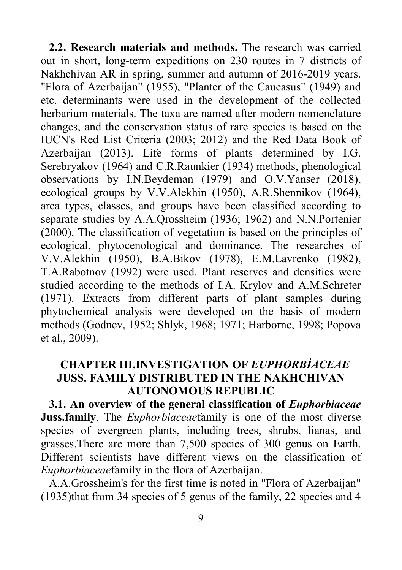**2.2. Research materials and methods.** The research was carried out in short, long-term expeditions on 230 routes in 7 districts of Nakhchivan AR in spring, summer and autumn of 2016-2019 years. "Flora of Azerbaijan" (1955), "Planter of the Caucasus" (1949) and etc. determinants were used in the development of the collected herbarium materials. The taxa are named after modern nomenclature changes, and the conservation status of rare species is based on the IUCN's Red List Criteria (2003; 2012) and the Red Data Book of Azerbaijan (2013). Life forms of plants determined by I.G. Serebryakov (1964) and C.R.Raunkier (1934) methods, phenological observations by I.N.Beydeman (1979) and O.V.Yanser (2018), ecological groups by V.V.Alekhin (1950), A.R.Shennikov (1964), area types, classes, and groups have been classified according to separate studies by A.A.Qrossheim (1936; 1962) and N.N.Portenier (2000). The classification of vegetation is based on the principles of ecological, phytocenological and dominance. The researches of V.V.Alekhin (1950), B.A.Bikov (1978), E.M.Lavrenko (1982), T.A.Rabotnov (1992) were used. Plant reserves and densities were studied according to the methods of I.A. Krylov and A.M.Schreter (1971). Extracts from different parts of plant samples during phytochemical analysis were developed on the basis of modern methods (Godnev, 1952; Shlyk, 1968; 1971; Harborne, 1998; Popova et al., 2009).

# **CHAPTER III.INVESTIGATION OF** *EUPHORBİACEAE*  **JUSS. FAMILY DISTRIBUTED IN THE NAKHCHIVAN AUTONOMOUS REPUBLIC**

**3.1. An overview of the general classification of** *Euphorbiaceae*  **Juss.family**. The *Euphorbiaceae*family is one of the most diverse species of evergreen plants, including trees, shrubs, lianas, and grasses.There are more than 7,500 species of 300 genus on Earth. Different scientists have different views on the classification of *Euphorbiaceae*family in the flora of Azerbaijan.

A.A.Grossheim's for the first time is noted in "Flora of Azerbaijan" (1935)that from 34 species of 5 genus of the family, 22 species and 4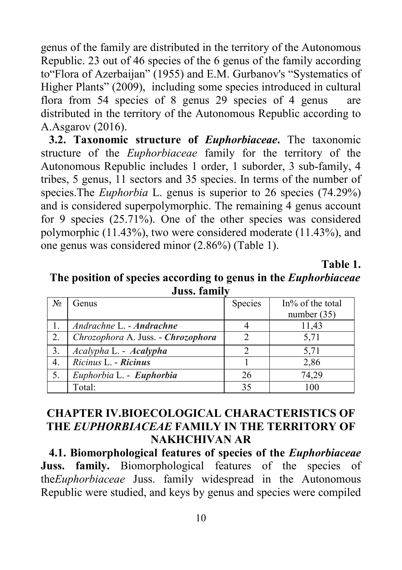genus of the family are distributed in the territory of the Autonomous Republic. 23 out of 46 species of the 6 genus of the family according to"Flora of Azerbaijan" (1955) and E.M. Gurbanov's "Systematics of Higher Plants" (2009), including some species introduced in cultural flora from 54 species of 8 genus 29 species of 4 genus are distributed in the territory of the Autonomous Republic according to A.Asgarov (2016).

**3.2. Taxonomic structure of** *Euphorbiaceae***.** The taxonomic structure of the *Euphorbiaceae* family for the territory of the Autonomous Republic includes 1 order, 1 suborder, 3 sub-family, 4 tribes, 5 genus, 11 sectors and 35 species. In terms of the number of species.The *Euphorbia* L. genus is superior to 26 species (74.29%) and is considered superpolymorphic. The remaining 4 genus account for 9 species (25.71%). One of the other species was considered polymorphic (11.43%), two were considered moderate (11.43%), and one genus was considered minor (2.86%) (Table 1).

**Table 1.**

**The position of species according to genus in the** *Euphorbiaceae*  **Juss. family**

| $N_2$ | Genus                              | Species | In% of the total |  |  |  |  |  |
|-------|------------------------------------|---------|------------------|--|--|--|--|--|
|       |                                    |         | number $(35)$    |  |  |  |  |  |
|       | Andrachne L. - Andrachne           |         | 11,43            |  |  |  |  |  |
| 2.    | Chrozophora A. Juss. - Chrozophora |         | 5,71             |  |  |  |  |  |
| 3.    | Acalypha L. - Acalypha             | 2       | 5,71             |  |  |  |  |  |
| 4.    | Ricinus L. - Ricinus               |         | 2,86             |  |  |  |  |  |
| 5.    | Euphorbia L. - Euphorbia           | 26      | 74,29            |  |  |  |  |  |
|       | Total:                             | 35      | 100              |  |  |  |  |  |

# **CHAPTER IV.BIOECOLOGICAL CHARACTERISTICS OF THE** *EUPHORBIACEAE* **FAMILY IN THE TERRITORY OF NAKHCHIVAN AR**

**4.1. Biomorphological features of species of the** *Euphorbiaceae*  **Juss. family.** Biomorphological features of the species of the*Euphorbiaceae* Juss. family widespread in the Autonomous Republic were studied, and keys by genus and species were compiled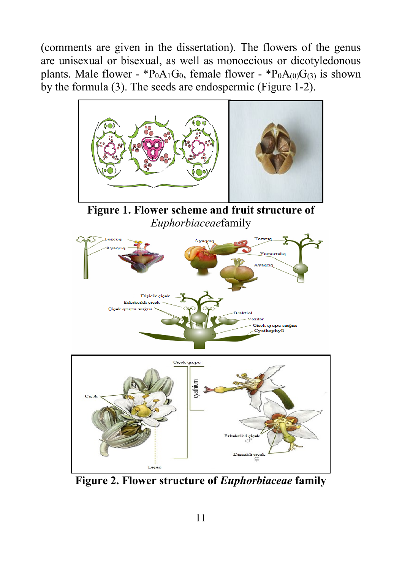(comments are given in the dissertation). The flowers of the genus are unisexual or bisexual, as well as monoecious or dicotyledonous plants. Male flower -  ${}^{*}P_0A_1G_0$ , female flower -  ${}^{*}P_0A_{(0)}G_{(3)}$  is shown by the formula (3). The seeds are endospermic (Figure 1-2).



**Figure 2. Flower structure of** *Euphorbiaceae* **family**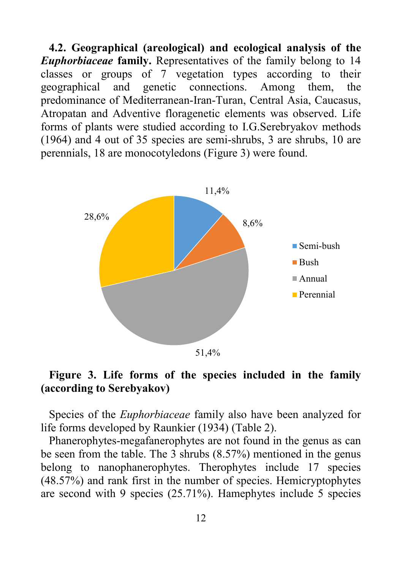**4.2. Geographical (areological) and ecological analysis of the**  *Euphorbiaceae* **family.** Representatives of the family belong to 14 classes or groups of 7 vegetation types according to their geographical and genetic connections. Among them, the predominance of Mediterranean-Iran-Turan, Central Asia, Caucasus, Atropatan and Adventive floragenetic elements was observed. Life forms of plants were studied according to I.G.Serebryakov methods (1964) and 4 out of 35 species are semi-shrubs, 3 are shrubs, 10 are perennials, 18 are monocotyledons (Figure 3) were found.



### **Figure 3. Life forms of the species included in the family (according to Serebyakov)**

Species of the *Euphorbiaceae* family also have been analyzed for life forms developed by Raunkier (1934) (Table 2).

Phanerophytes-megafanerophytes are not found in the genus as can be seen from the table. The 3 shrubs (8.57%) mentioned in the genus belong to nanophanerophytes. Therophytes include 17 species (48.57%) and rank first in the number of species. Hemicryptophytes are second with 9 species (25.71%). Hamephytes include 5 species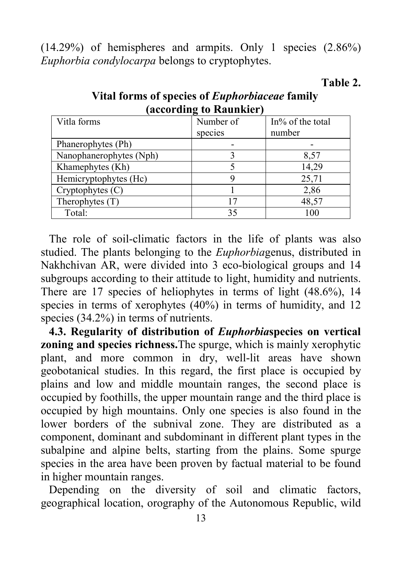(14.29%) of hemispheres and armpits. Only 1 species (2.86%) *Euphorbia condylocarpa* belongs to cryptophytes.

**(according to Raunkier)** Vitla forms species  $In\%$  of the total number Phanerophytes (Ph)<br>
Nanophanerophytes (Nph)<br>
3 8,57 Nanophanerophytes (Nph) 3 8,57<br>Khamephytes (Kh) 5 14.29 Khamephytes (Kh) Hemicryptophytes (Hc) 9 25,71 Cryptophytes  $(C)$  1 2,86 Therophytes (T) 17 48,57 Total: 35 100

**Vital forms of species of** *Euphorbiaceae* **family**

**Table 2.** 

The role of soil-climatic factors in the life of plants was also studied. The plants belonging to the *Euphorbia*genus, distributed in Nakhchivan AR, were divided into 3 eco-biological groups and 14 subgroups according to their attitude to light, humidity and nutrients. There are 17 species of heliophytes in terms of light (48.6%), 14 species in terms of xerophytes (40%) in terms of humidity, and 12 species (34.2%) in terms of nutrients.

**4.3. Regularity of distribution of** *Euphorbia***species on vertical zoning and species richness.**The [spurge,](https://en.wikipedia.org/wiki/Spurge) which is mainly xerophytic plant, and more common in dry, well-lit areas have shown geobotanical studies. In this regard, the first place is occupied by plains and low and middle mountain ranges, the second place is occupied by foothills, the upper mountain range and the third place is occupied by high mountains. Only one species is also found in the lower borders of the subnival zone. They are distributed as a component, dominant and subdominant in different plant types in the subalpine and alpine belts, starting from the plains. Some spurge species in the area have been proven by factual material to be found in higher mountain ranges.

Depending on the diversity of soil and climatic factors, geographical location, orography of the Autonomous Republic, wild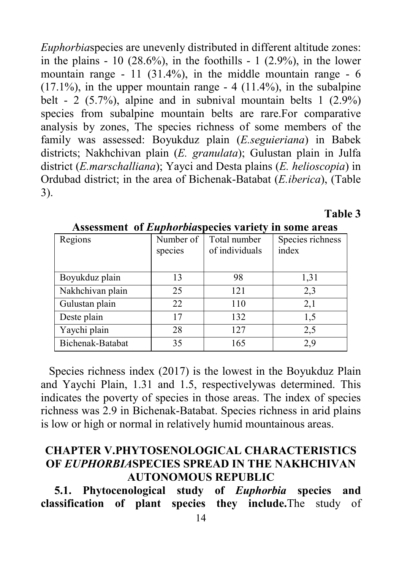*Euphorbia*species are unevenly distributed in different altitude zones: in the plains  $-10$  (28.6%), in the foothills  $-1$  (2.9%), in the lower mountain range - 11  $(31.4\%)$ , in the middle mountain range - 6  $(17.1\%)$ , in the upper mountain range  $-4$   $(11.4\%)$ , in the subalpine belt - 2 (5.7%), alpine and in subnival mountain belts  $1$  (2.9%) species from subalpine mountain belts are rare.For comparative analysis by zones, The species richness of some members of the family was assessed: Boyukduz plain (*E.seguieriana*) in Babek districts; Nakhchivan plain (*E. granulata*); Gulustan plain in Julfa district (*E.marschalliana*); Yayci and Desta plains (*E. helioscopia*) in Ordubad district; in the area of Bichenak-Batabat (*E.iberica*), (Table 3).

Number of species Total number of individuals Species richness index Boyukduz plain 13 98 1,31 Nakhchivan plain 25 121 2,3 Gulustan plain 22 110 2,1 Deste plain 17 132 1,5 Yaychi plain 28 127 2.5 Bichenak-Batabat 35 165 2.9

**Assessment of** *Euphorbia***species variety in some areas**<br>Regions Number of Total number Species richness

**Table 3**

Species richness index (2017) is the lowest in the Boyukduz Plain and Yaychi Plain, 1.31 and 1.5, respectivelywas determined. This indicates the poverty of species in those areas. The index of species richness was 2.9 in Bichenak-Batabat. Species richness in arid plains is low or high or normal in relatively humid mountainous areas.

## **CHAPTER V.PHYTOSENOLOGICAL CHARACTERISTICS OF** *EUPHORBIA***SPECIES SPREAD IN THE NAKHCHIVAN AUTONOMOUS REPUBLIC**

**5.1. Phytocenological study of** *Euphorbia* **species and classification of plant species they include.**The study of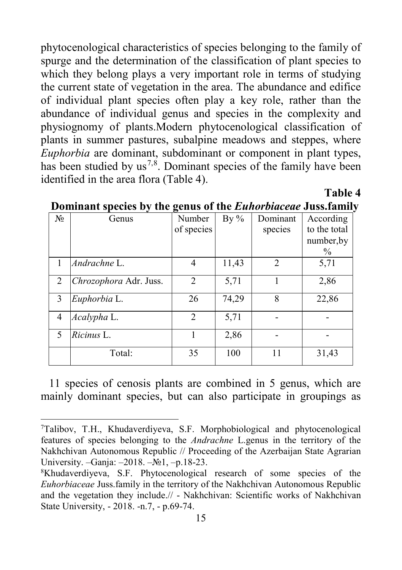phytocenological characteristics of species belonging to the family of spurge and the determination of the classification of plant species to which they belong plays a very important role in terms of studying the current state of vegetation in the area. The abundance and edifice of individual plant species often play a key role, rather than the abundance of individual genus and species in the complexity and physiognomy of plants.Modern phytocenological classification of plants in summer pastures, subalpine meadows and steppes, where *Euphorbia* are dominant, subdominant or component in plant types, has been studied by  $us^{7,8}$  $us^{7,8}$  $us^{7,8}$  $us^{7,8}$ . Dominant species of the family have been identified in the area flora (Table 4).

| $N_2$ | Genus                  | Number<br>of species | By $%$ | Dominant<br>species | According<br>to the total<br>number, by<br>$\%$ |
|-------|------------------------|----------------------|--------|---------------------|-------------------------------------------------|
|       | Andrachne L.           | 4                    | 11,43  | $\mathfrak{D}$      | 5,71                                            |
| 2     | Chrozophora Adr. Juss. | $\mathfrak{D}$       | 5,71   |                     | 2,86                                            |
| 3     | Euphorbia L.           | 26                   | 74,29  | 8                   | 22,86                                           |
| 4     | Acalypha L.            | $\mathfrak{D}$       | 5,71   |                     |                                                 |
| 5     | Ricinus L.             |                      | 2,86   |                     |                                                 |
|       | Total:                 | 35                   | 100    | 11                  | 31,43                                           |

### **Dominant species by the genus of the** *Euhorbiaceae* **Juss.family**

**Table 4**

11 species of cenosis plants are combined in 5 genus, which are mainly dominant species, but can also participate in groupings as

<span id="page-14-0"></span><sup>&</sup>lt;sup>-</sup> Talibov, T.H., Khudaverdiyeva, S.F. Morphobiological and phytocenological features of species belonging to the *Andrachne* L.genus in the territory of the Nakhchivan Autonomous Republic // Proceeding of the Azerbaijan State Agrarian University. –Ganja: –2018. –№1, –p.18-23.

<span id="page-14-1"></span><sup>8</sup> Khudaverdiyeva, S.F. Phytocenological research of some species of the *Euhorbiaceae* Juss.family in the territory of the Nakhchivan Autonomous Republic and the vegetation they include.// - Nakhchivan: Scientific works of Nakhchivan State University, - 2018. -n.7, - p.69-74.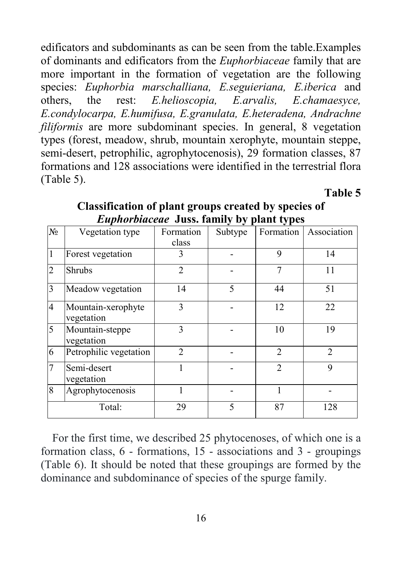edificators and subdominants as can be seen from the table.Examples of dominants and edificators from the *Euphorbiaceae* family that are more important in the formation of vegetation are the following species: *Euphorbia marschalliana, E.seguieriana, E.iberica* and others, the rest: *E.helioscopia, E.arvalis, E.chamaesyce, E.condylocarpa, E.humifusa, E.granulata, E.heteradena, Andrachne filiformis* are more subdominant species. In general, 8 vegetation types (forest, meadow, shrub, mountain xerophyte, mountain steppe, semi-desert, petrophilic, agrophytocenosis), 29 formation classes, 87 formations and 128 associations were identified in the terrestrial flora (Table 5).

**Table 5**

| $N_2$          | Vegetation type                  | Formation      | Subtype | Formation      | Association    |
|----------------|----------------------------------|----------------|---------|----------------|----------------|
|                |                                  | class          |         |                |                |
|                | Forest vegetation                | 3              |         | 9              | 14             |
| $\overline{2}$ | Shrubs                           | $\overline{2}$ |         |                | 11             |
| 3              | Meadow vegetation                | 14             | 5       | 44             | 51             |
| 4              | Mountain-xerophyte<br>vegetation | 3              |         | 12             | 22             |
| 5              | Mountain-steppe<br>vegetation    | 3              |         | 10             | 19             |
| 6              | Petrophilic vegetation           | $\mathfrak{D}$ |         | $\mathfrak{D}$ | $\mathfrak{D}$ |
|                | Semi-desert<br>vegetation        |                |         | $\mathfrak{D}$ | 9              |
| 8              | Agrophytocenosis                 |                |         |                |                |
|                | Total:                           | 29             | 5       | 87             | 128            |

**Classification of plant groups created by species of**  *Euphorbiaceae* **Juss. family by plant types** 

 For the first time, we described 25 phytocenoses, of which one is a formation class, 6 - formations, 15 - associations and 3 - groupings (Table 6). It should be noted that these groupings are formed by the dominance and subdominance of species of the spurge family.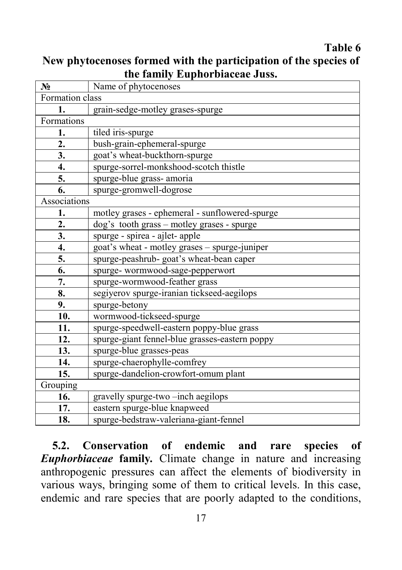### **Table 6**

| New phytocenoses formed with the participation of the species of |
|------------------------------------------------------------------|
| the family Euphorbiaceae Juss.                                   |

| N°               | Name of phytocenoses                           |  |  |
|------------------|------------------------------------------------|--|--|
| Formation class  |                                                |  |  |
| 1.               | grain-sedge-motley grases-spurge               |  |  |
| Formations       |                                                |  |  |
| 1.               | tiled iris-spurge                              |  |  |
| $\overline{2}$ . | bush-grain-ephemeral-spurge                    |  |  |
| $\overline{3}$ . | goat's wheat-buckthorn-spurge                  |  |  |
| 4.               | spurge-sorrel-monkshood-scotch thistle         |  |  |
| 5.               | spurge-blue grass- amoria                      |  |  |
| 6.               | spurge-gromwell-dogrose                        |  |  |
| Associations     |                                                |  |  |
| 1.               | motley grases - ephemeral - sunflowered-spurge |  |  |
| 2.               | dog's tooth grass - motley grases - spurge     |  |  |
| 3.               | spurge - spirea - ajlet- apple                 |  |  |
| 4.               | goat's wheat - motley grases - spurge-juniper  |  |  |
| 5.               | spurge-peashrub- goat's wheat-bean caper       |  |  |
| $\overline{6}$ . | spurge-wormwood-sage-pepperwort                |  |  |
| 7.               | spurge-wormwood-feather grass                  |  |  |
| 8.               | segiyerov spurge-iranian tickseed-aegilops     |  |  |
| 9.               | spurge-betony                                  |  |  |
| 10.              | wormwood-tickseed-spurge                       |  |  |
| 11.              | spurge-speedwell-eastern poppy-blue grass      |  |  |
| 12.              | spurge-giant fennel-blue grasses-eastern poppy |  |  |
| 13.              | spurge-blue grasses-peas                       |  |  |
| 14.              | spurge-chaerophylle-comfrey                    |  |  |
| 15.              | spurge-dandelion-crowfort-omum plant           |  |  |
| Grouping         |                                                |  |  |
| 16.              | gravelly spurge-two-inch aegilops              |  |  |
| 17.              | eastern spurge-blue knapweed                   |  |  |
| 18.              | spurge-bedstraw-valeriana-giant-fennel         |  |  |

 **5.2. Conservation of endemic and rare species of**  *Euphorbiaceae* **family***.* Climate change in nature and increasing anthropogenic pressures can affect the elements of biodiversity in various ways, bringing some of them to critical levels. In this case, endemic and rare species that are poorly adapted to the conditions,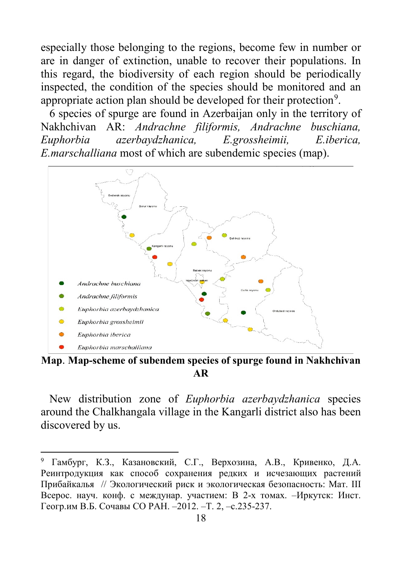especially those belonging to the regions, become few in number or are in danger of extinction, unable to recover their populations. In this regard, the biodiversity of each region should be periodically inspected, the condition of the species should be monitored and an appropriate action plan should be developed for their protection<sup>[9](#page-17-0)</sup>.

 6 species of spurge are found in Azerbaijan only in the territory of Nakhchivan AR: *Andrachne filiformis, Andrachne buschiana, Euphorbia azerbaydzhanica, E.grossheimii, E.iberica, E.marschalliana* most of which are subendemic species (map).



**Map**. **Map-scheme of subendem species of spurge found in Nakhchivan AR**

 New distribution zone of *Euphorbia azerbaydzhanica* species around the Chalkhangala village in the Kangarli district also has been discovered by us.

-

<span id="page-17-0"></span><sup>9</sup> Гамбург, К.З., Казановский, С.Г., Верхозина, А.В., Кривенко, Д.А. Реинтродукция как способ сохранения редких и исчезающих растений Прибайкалья // Экологический риск и экологическая безопасность: Мат. III Всерос. науч. конф. с междунар. участием: В 2-х томах. –Иркутск: Инст. Геогр.им В.Б. Сочавы СО РАН. –2012. –Т. 2, –c.235-237.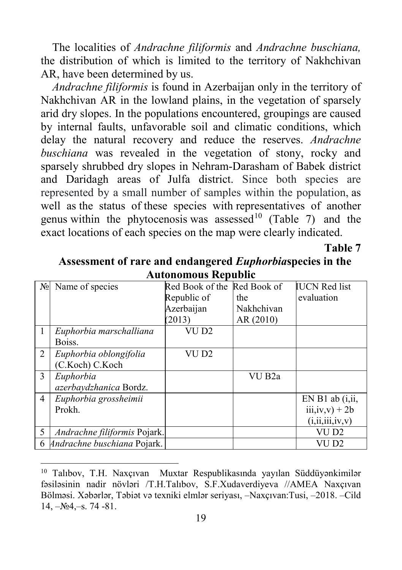The localities of *Andrachne filiformis* and *Andrachne buschiana,* the distribution of which is limited to the territory of Nakhchivan AR, have been determined by us.

 *Andrachne filiformis* is found in Azerbaijan only in the territory of Nakhchivan AR in the lowland plains, in the vegetation of sparsely arid dry slopes. In the populations encountered, groupings are caused by internal faults, unfavorable soil and climatic conditions, which delay the natural recovery and reduce the reserves. *Andrachne buschiana* was revealed in the vegetation of stony, rocky and sparsely shrubbed dry slopes in Nehram-Darasham of Babek district and Daridagh areas of Julfa district. Since both species are represented by a small number of samples within the population, as well as the status of these species with representatives of another genus within the phytocenosis was assessed<sup>[10](#page-18-0)</sup> (Table 7) and the exact locations of each species on the map were clearly indicated.

**Table 7**

|                | Autonomous Republic          |                 |                    |                      |  |  |  |  |  |
|----------------|------------------------------|-----------------|--------------------|----------------------|--|--|--|--|--|
| $N_2$          | Name of species              | Red Book of the | Red Book of        | <b>IUCN</b> Red list |  |  |  |  |  |
|                |                              | Republic of     | the                | evaluation           |  |  |  |  |  |
|                |                              | Azerbaijan      | Nakhchivan         |                      |  |  |  |  |  |
|                |                              | (2013)          | AR (2010)          |                      |  |  |  |  |  |
|                | Euphorbia marschalliana      | VU D2           |                    |                      |  |  |  |  |  |
|                | Boiss.                       |                 |                    |                      |  |  |  |  |  |
| 2              | Euphorbia oblongifolia       | VU D2           |                    |                      |  |  |  |  |  |
|                | (C.Koch) C.Koch              |                 |                    |                      |  |  |  |  |  |
| 3              | Euphorbia                    |                 | VU B <sub>2a</sub> |                      |  |  |  |  |  |
|                | azerbaydzhanica Bordz.       |                 |                    |                      |  |  |  |  |  |
| $\overline{4}$ | Euphorbia grossheimii        |                 |                    | $EN B1$ ab $(i, ii,$ |  |  |  |  |  |
|                | Prokh.                       |                 |                    | $iii, iv, v) + 2b$   |  |  |  |  |  |
|                |                              |                 |                    | (i, ii, iii, iv, v)  |  |  |  |  |  |
| 5              | Andrachne filiformis Pojark. |                 |                    | VU D2                |  |  |  |  |  |
| 6              | Andrachne buschiana Pojark.  |                 |                    | VU D2                |  |  |  |  |  |

**Assessment of rare and endangered** *Euphorbia***species in the Autonomous Republic**

<span id="page-18-0"></span> <sup>10</sup> Talıbov, T.H. Naxçıvan Muxtar Respublikasında yayılan Süddüyənkimilər fəsiləsinin nadir növləri /T.H.Talıbov, S.F.Xudaverdiyeva //AMEA Naxçıvan Bölməsi. Xəbərlər, Təbiət və texniki elmlər seriyası, –Naxçıvan:Tusi, –2018. –Cild  $14, -N<sub>2</sub>4, -s. 74 -81.$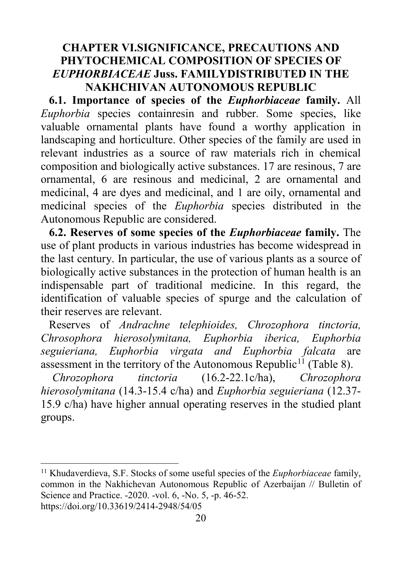# **CHAPTER VI.SIGNIFICANCE, PRECAUTIONS AND PHYTOCHEMICAL COMPOSITION OF SPECIES OF**  *EUPHORBIACEAE* **Juss. FAMILYDISTRIBUTED IN THE NAKHCHIVAN AUTONOMOUS REPUBLIC**

**6.1. Importance of species of the** *Euphorbiaceae* **family.** All *Euphorbia* species containresin and rubber. Some species, like valuable ornamental plants have found a worthy application in landscaping and horticulture. Other species of the family are used in relevant industries as a source of raw materials rich in chemical composition and biologically active substances. 17 are resinous, 7 are ornamental, 6 are resinous and medicinal, 2 are ornamental and medicinal, 4 are dyes and medicinal, and 1 are oily, ornamental and medicinal species of the *Euphorbia* species distributed in the Autonomous Republic are considered.

**6.2. Reserves of some species of the** *Euphorbiaceae* **family.** The use of plant products in various industries has become widespread in the last century. In particular, the use of various plants as a source of biologically active substances in the protection of human health is an indispensable part of traditional medicine. In this regard, the identification of valuable species of spurge and the calculation of their reserves are relevant.

Reserves of *Andrachne telephioides, Chrozophora tinctoria, Chrosophora hierosolymitana, Euphorbia iberica, Euphorbia seguieriana, Euphorbia virgata and Euphorbia falcata* are assessment in the territory of the Autonomous Republic<sup>[11](#page-19-0)</sup> (Table 8).

 *Chrozophora tinctoria* (16.2-22.1c/ha), *Chrozophora hierosolymitana* (14.3-15.4 c/ha) and *Euphorbia seguieriana* (12.37- 15.9 c/ha) have higher annual operating reserves in the studied plant groups.

<span id="page-19-0"></span> <sup>11</sup> Khudaverdieva, S.F. Stocks of some useful species of the *Euphorbiaceae* family, common in the Nakhichevan Autonomous Republic of Azerbaijan // Bulletin of Science and Practice. -2020. -vol. 6, -No. 5, -p. 46-52. https://doi.org/10.33619/2414-2948/54/05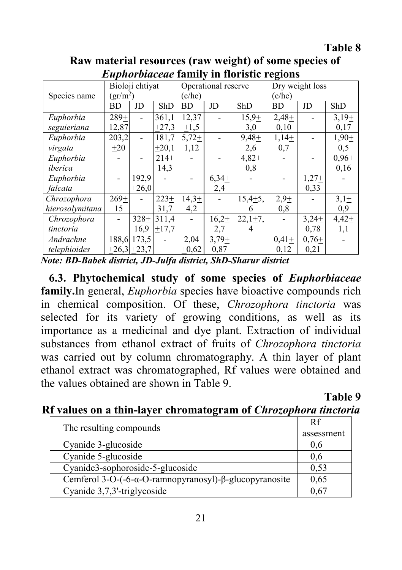### **Table 8**

| <i>Luphorbuceue</i> Tannry In Horistic regions |                 |                     |                     |           |         |                 |         |         |         |
|------------------------------------------------|-----------------|---------------------|---------------------|-----------|---------|-----------------|---------|---------|---------|
|                                                | Bioloji ehtiyat |                     | Operational reserve |           |         | Dry weight loss |         |         |         |
| Species name                                   | $gr/m^2$ )      |                     | (c/he)              |           |         | (c/he)          |         |         |         |
|                                                | BD              | JD                  | ShD                 | <b>BD</b> | JD      | ShD             | BD      | JD      | ShD     |
| Euphorbia                                      | $289+$          |                     | 361,1               | 12,37     |         | $15,9+$         | $2,48+$ |         | $3,19+$ |
| seguieriana                                    | 12,87           |                     | $+27,3$             | $\pm 1,5$ |         | 3,0             | 0,10    |         | 0,17    |
| Euphorbia                                      | 203,2           |                     | 181,7               | $5,72+$   |         | $9,48+$         | $1,14+$ |         | $1,90+$ |
| virgata                                        | $+20$           |                     | $+20,1$             | 1,12      |         | 2,6             | 0,7     |         | 0,5     |
| Euphorbia                                      |                 |                     | $214 +$             |           |         | $4,82+$         |         |         | $0,96+$ |
| iberica                                        |                 |                     | 14,3                |           |         | 0,8             |         |         | 0,16    |
| Euphorbia                                      |                 | 192,9               |                     |           | $6,34+$ |                 |         | $1,27+$ |         |
| falcata                                        |                 | $+26,0$             |                     |           | 2,4     |                 |         | 0,33    |         |
| Chrozophora                                    | $269+$          |                     | $223+$              | $14,3+$   |         | $15,4+5,$       | $2,9+$  |         | $3,1+$  |
| hierosolymitana                                | 15              |                     | 31,7                | 4,2       |         | 6               | 0,8     |         | 0,9     |
| Chrozophora                                    |                 | $328 +$             | 311,4               |           | $16,2+$ | $22,1+7,$       |         | $3,24+$ | $4,42+$ |
| tinctoria                                      |                 | 16,9                | $+17,7$             |           | 2,7     | 4               |         | 0,78    | 1,1     |
| Andrachne                                      |                 | 188,6 173,5         |                     | 2,04      | $3,79+$ |                 | $0,41+$ | $0.76+$ |         |
| telephioides                                   |                 | $\pm 26.3 \pm 23.7$ |                     | $+0,62$   | 0,87    |                 | 0,12    | 0,21    |         |

**Raw material resources (raw weight) of some species of**  *Euphorbiaceae* **family in floristic regions**

*Note: BD-Babek district, JD-Julfa district, ShD-Sharur district*

**6.3. Phytochemical study of some species of** *Euphorbiaceae* **family.**In general, *Euphorbia* species have bioactive compounds rich in chemical composition. Of these, *Chrozophora tinctoria* was selected for its variety of growing conditions, as well as its importance as a medicinal and dye plant. Extraction of individual substances from ethanol extract of fruits of *Chrozophora tinctoria* was carried out by column chromatography. A thin layer of plant ethanol extract was chromatographed, Rf values were obtained and the values obtained are shown in Table 9.

**Table 9**

### **Rf values on a thin-layer chromatogram of** *Chrozophora tinctoria*

| The resulting compounds                                | Rf         |
|--------------------------------------------------------|------------|
|                                                        | assessment |
| Cyanide 3-glucoside                                    | 0.6        |
| Cyanide 5-glucoside                                    | 0.6        |
| Cyanide3-sophoroside-5-glucoside                       | 0,53       |
| Cemferol 3-O-(-6-α-O-ramnopyranosyl)-β-glucopyranosite | 0,65       |
| Cyanide 3,7,3'-triglycoside                            |            |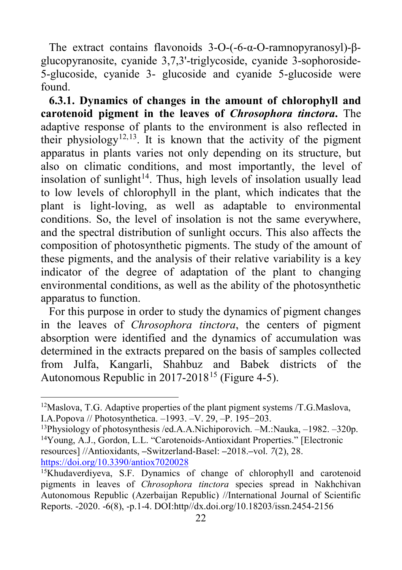The extract contains flavonoids 3-O-(-6-α-O-ramnopyranosyl)-βglucopyranosite, cyanide 3,7,3'-triglycoside, cyanide 3-sophoroside-5-glucoside, cyanide 3- glucoside and cyanide 5-glucoside were found.

**6.3.1. Dynamics of changes in the amount of chlorophyll and carotenoid pigment in the leaves of** *Chrosophora tinctora***.** The adaptive response of plants to the environment is also reflected in their physiology<sup>[12](#page-21-0),13</sup>. It is known that the activity of the pigment apparatus in plants varies not only depending on its structure, but also on climatic conditions, and most importantly, the level of insolation of sunlight<sup>14</sup>. Thus, high levels of insolation usually lead to low levels of chlorophyll in the plant, which indicates that the plant is light-loving, as well as adaptable to environmental conditions. So, the level of insolation is not the same everywhere, and the spectral distribution of sunlight occurs. This also affects the composition of photosynthetic pigments. The study of the amount of these pigments, and the analysis of their relative variability is a key indicator of the degree of adaptation of the plant to changing environmental conditions, as well as the ability of the photosynthetic apparatus to function.

For this purpose in order to study the dynamics of pigment changes in the leaves of *Chrosophora tinctora*, the centers of pigment absorption were identified and the dynamics of accumulation was determined in the extracts prepared on the basis of samples collected from Julfa, Kangarli, Shahbuz and Babek districts of the Autonomous Republic in 2017-2018<sup>[15](#page-21-3)</sup> (Figure 4-5).

<span id="page-21-0"></span> <sup>12</sup>Maslova, T.G. Adaptive properties of the plant pigment systems /T.G.Maslova, I.A.Popova // Photosynthetica. –1993. –V. 29, –P. 195−203.

<span id="page-21-2"></span><span id="page-21-1"></span><sup>13</sup>Physiology of photosynthesis /ed.A.A.Nichiporovich. –M.:Nauka, –1982. –320p. 14Young, A.J., Gordon, L.L. "Carotenoids-Antioxidant Properties." [Electronic resources] //Antioxidants, **–**Switzerland-Basel: **–**2018.**–**vol. *7*(2), 28. <https://doi.org/10.3390/antiox7020028>

<span id="page-21-3"></span><sup>&</sup>lt;sup>15</sup>Khudaverdiyeva, S.F. Dynamics of change of chlorophyll and carotenoid pigments in leaves of *Chrosophora tinctora* species spread in Nakhchivan Autonomous Republic (Azerbaijan Republic) //International Journal of Scientific Reports. -2020. -6(8), -p.1-4. DOI:http//dx.doi.org/10.18203/issn.2454-2156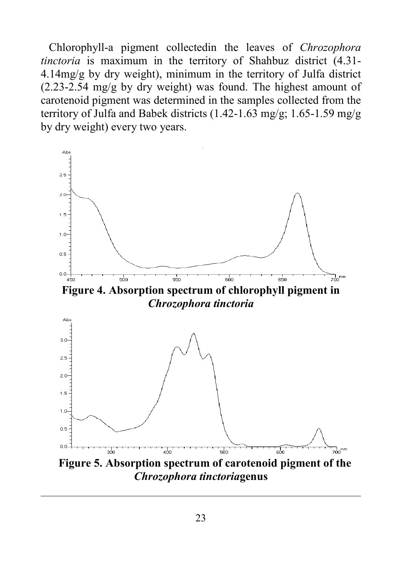Chlorophyll-a pigment collectedin the leaves of *Chrozophora tinctoria* is maximum in the territory of Shahbuz district (4.31- 4.14mg/g by dry weight), minimum in the territory of Julfa district (2.23-2.54 mg/g by dry weight) was found. The highest amount of carotenoid pigment was determined in the samples collected from the territory of Julfa and Babek districts (1.42-1.63 mg/g; 1.65-1.59 mg/g by dry weight) every two years.



**Figure 4. Absorption spectrum of chlorophyll pigment in** *Chrozophora tinctoria*



j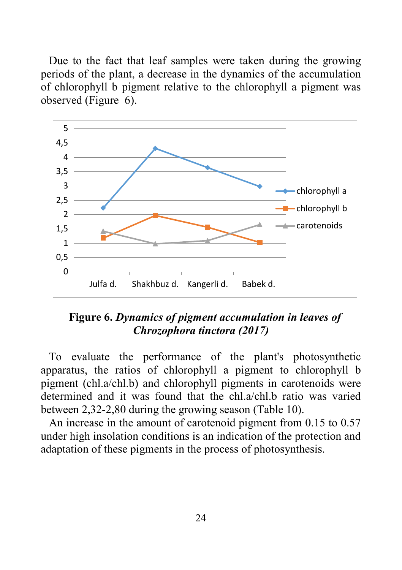Due to the fact that leaf samples were taken during the growing periods of the plant, a decrease in the dynamics of the accumulation of chlorophyll b pigment relative to the chlorophyll a pigment was observed (Figure 6).



# **Figure 6.** *Dynamics of pigment accumulation in leaves of Chrozophora tinctora (2017)*

To evaluate the performance of the plant's photosynthetic apparatus, the ratios of chlorophyll a pigment to chlorophyll b pigment (chl.a/chl.b) and chlorophyll pigments in carotenoids were determined and it was found that the chl.a/chl.b ratio was varied between 2,32-2,80 during the growing season (Table 10).

An increase in the amount of carotenoid pigment from 0.15 to 0.57 under high insolation conditions is an indication of the protection and adaptation of these pigments in the process of photosynthesis.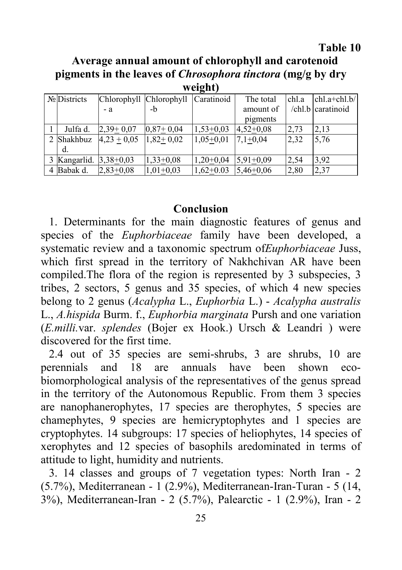#### **Table 10**

**Average annual amount of chlorophyll and carotenoid pigments in the leaves of** *Chrosophora tinctora* **(mg/g by dry weight)**

| $\cdots$               |               |                                    |             |              |       |                   |  |  |  |
|------------------------|---------------|------------------------------------|-------------|--------------|-------|-------------------|--|--|--|
| No Districts           |               | Chlorophyll Chlorophyll Caratinoid |             | The total    | chl.a | $chl.a + chl.b/$  |  |  |  |
|                        | $-a$          | -b                                 |             | amount of    |       | /chl.b caratinoid |  |  |  |
|                        |               |                                    |             | pigments     |       |                   |  |  |  |
| Julfa d.               | $2,39+0,07$   | $0.87 + 0.04$                      | $1,53+0,03$ | $4,52+0,08$  | 2,73  | 2,13              |  |  |  |
| 2 Shakhbuz             | $4,23 + 0,05$ | $1,82+0,02$                        | $1,05+0,01$ | $7.1 + 0.04$ | 2,32  | 5,76              |  |  |  |
| d.                     |               |                                    |             |              |       |                   |  |  |  |
| 3 Kangarlid. 3,38+0,03 |               | $1,33+0,08$                        | $1,20+0,04$ | $5,91+0,09$  | 2,54  | 3,92              |  |  |  |
| 4 Babak d.             | $2,83+0.08$   | $1,01+0,03$                        | $1,62+0.03$ | $5,46+0,06$  | 2,80  | 2,37              |  |  |  |

#### **Conclusion**

1. Determinants for the main diagnostic features of genus and species of the *Euphorbiaceae* family have been developed, a systematic review and a taxonomic spectrum of*Euphorbiaceae* Juss, which first spread in the territory of Nakhchivan AR have been compiled.The flora of the region is represented by 3 subspecies, 3 tribes, 2 sectors, 5 genus and 35 species, of which 4 new species belong to 2 genus (*Acalypha* L., *Euphorbia* L.) - *Acalypha australis* L., *A.hispida* Burm. f., *Euphorbia marginata* Pursh and one variation (*E.milli.*var. *splendes* (Bojer ex Hook.) Ursch & Leandri ) were discovered for the first time.

2.4 out of 35 species are semi-shrubs, 3 are shrubs, 10 are perennials and 18 are annuals have been shown ecobiomorphological analysis of the representatives of the genus spread in the territory of the Autonomous Republic. From them 3 species are nanophanerophytes, 17 species are therophytes, 5 species are chamephytes, 9 species are hemicryptophytes and 1 species are cryptophytes. 14 subgroups: 17 species of heliophytes, 14 species of xerophytes and 12 species of basophils aredominated in terms of attitude to light, humidity and nutrients.

3. 14 classes and groups of 7 vegetation types: North Iran - 2 (5.7%), Mediterranean - 1 (2.9%), Mediterranean-Iran-Turan - 5 (14, 3%), Mediterranean-Iran - 2 (5.7%), Palearctic - 1 (2.9%), Iran - 2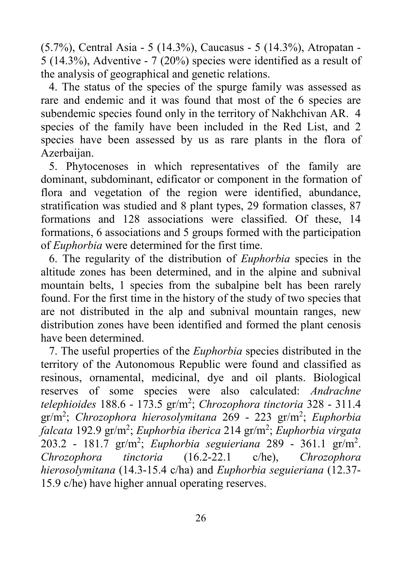(5.7%), Central Asia - 5 (14.3%), Caucasus - 5 (14.3%), Atropatan - 5 (14.3%), Adventive - 7 (20%) species were identified as a result of the analysis of geographical and genetic relations.

4. The status of the species of the spurge family was assessed as rare and endemic and it was found that most of the 6 species are subendemic species found only in the territory of Nakhchivan AR. 4 species of the family have been included in the Red List, and 2 species have been assessed by us as rare plants in the flora of Azerbaijan.

5. Phytocenoses in which representatives of the family are dominant, subdominant, edificator or component in the formation of flora and vegetation of the region were identified, abundance, stratification was studied and 8 plant types, 29 formation classes, 87 formations and 128 associations were classified. Of these, 14 formations, 6 associations and 5 groups formed with the participation of *Euphorbia* were determined for the first time.

6. The regularity of the distribution of *Euphorbia* species in the altitude zones has been determined, and in the alpine and subnival mountain belts, 1 species from the subalpine belt has been rarely found. For the first time in the history of the study of two species that are not distributed in the alp and subnival mountain ranges, new distribution zones have been identified and formed the plant cenosis have been determined.

7. The useful properties of the *Euphorbia* species distributed in the territory of the Autonomous Republic were found and classified as resinous, ornamental, medicinal, dye and oil plants. Biological reserves of some species were also calculated: *Andrachne telephioides* 188.6 - 173.5 gr/m<sup>2</sup> ; *Chrozophora tinctoria* 328 - 311.4 gr/m<sup>2</sup> ; *Chrozophora hierosolymitana* 269 - 223 gr/m<sup>2</sup> ; *Euphorbia falcata* 192.9 gr/m<sup>2</sup> ; *Euphorbia iberica* 214 gr/m<sup>2</sup> ; *Euphorbia virgata* 203.2 - 181.7 gr/m<sup>2</sup> ; *Euphorbia seguieriana* 289 - 361.1 gr/m<sup>2</sup> . *Chrozophora tinctoria* (16.2-22.1 c/he), *Chrozophora hierosolymitana* (14.3-15.4 c/ha) and *Euphorbia seguieriana* (12.37- 15.9 c/he) have higher annual operating reserves.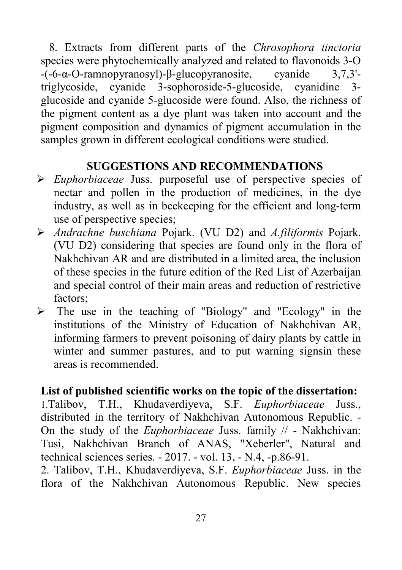8. Extracts from different parts of the *Chrosophora tinctoria*  species were phytochemically analyzed and related to flavonoids 3-O -(-6-α-O-ramnopyranosyl)-β-glucopyranosite, cyanide 3,7,3' triglycoside, cyanide 3-sophoroside-5-glucoside, cyanidine 3 glucoside and cyanide 5-glucoside were found. Also, the richness of the pigment content as a dye plant was taken into account and the pigment composition and dynamics of pigment accumulation in the samples grown in different ecological conditions were studied.

# **SUGGESTIONS AND RECOMMENDATIONS**

- *Euphorbiaceae* Juss. purposeful use of perspective species of nectar and pollen in the production of medicines, in the dye industry, as well as in beekeeping for the efficient and long-term use of perspective species;
- *Andrachne buschiana* Pojark. (VU D2) and *A.filiformis* Pojark. (VU D2) considering that species are found only in the flora of Nakhchivan AR and are distributed in a limited area, the inclusion of these species in the future edition of the Red List of Azerbaijan and special control of their main areas and reduction of restrictive factors;
- $\triangleright$  The use in the teaching of "Biology" and "Ecology" in the institutions of the Ministry of Education of Nakhchivan AR, informing farmers to prevent poisoning of dairy plants by cattle in winter and summer pastures, and to put warning signs in these areas is recommended.

# **List of published scientific works on the topic of the dissertation:**

1.Talibov, T.H., Khudaverdiyeva, S.F. *Euphorbiaceae* Juss., distributed in the territory of Nakhchivan Autonomous Republic. - On the study of the *Euphorbiaceae* Juss. family // - Nakhchivan: Tusi, Nakhchivan Branch of ANAS, "Xeberler", Natural and technical sciences series. - 2017. - vol. 13, - N.4, -p.86-91.

2. Talibov, T.H., Khudaverdiyeva, S.F. *Euphorbiaceae* Juss. in the flora of the Nakhchivan Autonomous Republic. New species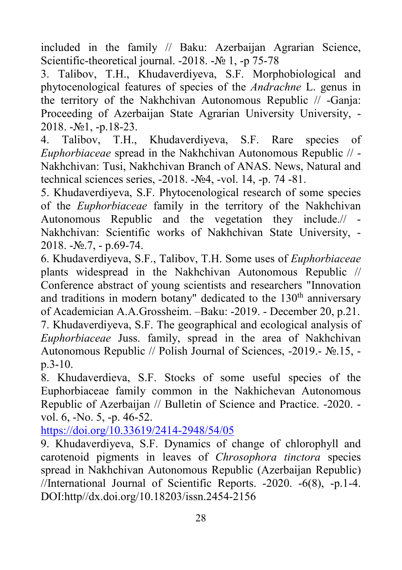included in the family // Baku: Azerbaijan Agrarian Science, Scientific-theoretical journal. -2018. -№ 1, -p 75-78

3. Talibov, T.H., Khudaverdiyeva, S.F. Morphobiological and phytocenological features of species of the *Andrachne* L. genus in the territory of the Nakhchivan Autonomous Republic // -Ganja: Proceeding of Azerbaijan State Agrarian University University, - 2018. -№1, -p.18-23.

4. Talibov, T.H., Khudaverdiyeva, S.F. Rare species of *Euphorbiaceae* spread in the Nakhchivan Autonomous Republic // - Nakhchivan: Tusi, Nakhchivan Branch of ANAS. News, Natural and technical sciences series, -2018. -№4, -vol. 14, -p. 74 -81.

5. Khudaverdiyeva, S.F. Phytocenological research of some species of the *Euphorbiaceae* family in the territory of the Nakhchivan Autonomous Republic and the vegetation they include.// - Nakhchivan: Scientific works of Nakhchivan State University, - 2018. -№.7, - p.69-74.

6. Khudaverdiyeva, S.F., Talibov, T.H. Some uses of *Euphorbiaceae* plants widespread in the Nakhchivan Autonomous Republic // Conference abstract of young scientists and researchers "Innovation and traditions in modern botany" dedicated to the  $130<sup>th</sup>$  anniversary of Academician A.A.Grossheim. –Baku: -2019. - December 20, p.21. 7. Khudaverdiyeva, S.F. The geographical and ecological analysis of *Euphorbiaceae* Juss. family, spread in the area of Nakhchivan Autonomous Republic // Polish Journal of Sciences, -2019.- №.15, p.3-10.

8. Khudaverdieva, S.F. Stocks of some useful species of the Euphorbiaceae family common in the Nakhichevan Autonomous Republic of Azerbaijan // Bulletin of Science and Practice. -2020. vol. 6, -No. 5, -p. 46-52.

<https://doi.org/10.33619/2414-2948/54/05>

9. Khudaverdiyeva, S.F. Dynamics of change of chlorophyll and carotenoid pigments in leaves of *Chrosophora tinctora* species spread in Nakhchivan Autonomous Republic (Azerbaijan Republic) //International Journal of Scientific Reports. -2020. -6(8), -p.1-4. DOI:http//dx.doi.org/10.18203/issn.2454-2156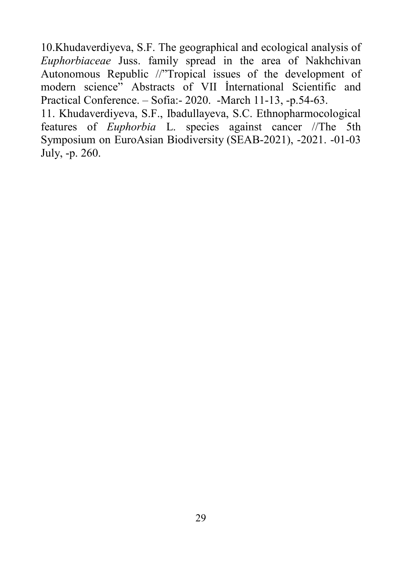10.Khudaverdiyeva, S.F. The geographical and ecological analysis of *Euphorbiaceae* Juss. family spread in the area of Nakhchivan Autonomous Republic //"Tropical issues of the development of modern science" Abstracts of VII İnternational Scientific and Practical Conference. – Sofia:- 2020. -March 11-13, -p.54-63.

11. Khudaverdiyeva, S.F., Ibadullayeva, S.C. Ethnopharmocological features of *Euphorbia* L. species against cancer //The 5th Symposium on EuroAsian Biodiversity (SEAB-2021), -2021. -01-03 July, -p. 260.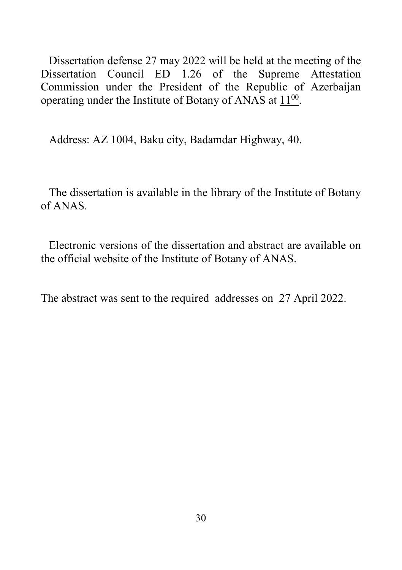Dissertation defense 27 may 2022 will be held at the meeting of the Dissertation Council ED 1.26 of the Supreme Attestation Commission under the President of the Republic of Azerbaijan operating under the Institute of Botany of ANAS at  $11^{00}$ .

Address: AZ 1004, Baku city, Badamdar Highway, 40.

The dissertation is available in the library of the Institute of Botany of ANAS.

Electronic versions of the dissertation and abstract are available on the official website of the Institute of Botany of ANAS.

The abstract was sent to the required addresses on 27 April 2022.